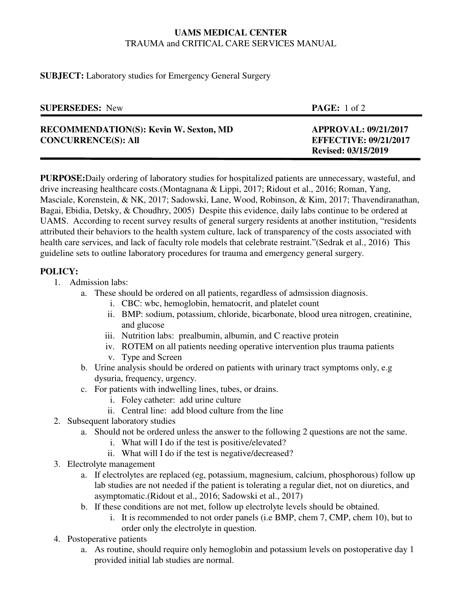## **UAMS MEDICAL CENTER**  TRAUMA and CRITICAL CARE SERVICES MANUAL

**SUBJECT:** Laboratory studies for Emergency General Surgery

| <b>SUPERSEDES:</b> New                                                      | <b>PAGE:</b> 1 of 2                                         |
|-----------------------------------------------------------------------------|-------------------------------------------------------------|
| <b>RECOMMENDATION(S): Kevin W. Sexton, MD</b><br><b>CONCURRENCE(S): All</b> | <b>APPROVAL: 09/21/2017</b><br><b>EFFECTIVE: 09/21/2017</b> |
|                                                                             | <b>Revised: 03/15/2019</b>                                  |

**PURPOSE:**Daily ordering of laboratory studies for hospitalized patients are unnecessary, wasteful, and drive increasing healthcare costs.(Montagnana & Lippi, 2017; Ridout et al., 2016; Roman, Yang, Masciale, Korenstein, & NK, 2017; Sadowski, Lane, Wood, Robinson, & Kim, 2017; Thavendiranathan, Bagai, Ebidia, Detsky, & Choudhry, 2005) Despite this evidence, daily labs continue to be ordered at UAMS. According to recent survey results of general surgery residents at another institution, "residents attributed their behaviors to the health system culture, lack of transparency of the costs associated with health care services, and lack of faculty role models that celebrate restraint."(Sedrak et al., 2016) This guideline sets to outline laboratory procedures for trauma and emergency general surgery.

## **POLICY:**

- 1. Admission labs:
	- a. These should be ordered on all patients, regardless of admsission diagnosis.
		- i. CBC: wbc, hemoglobin, hematocrit, and platelet count
		- ii. BMP: sodium, potassium, chloride, bicarbonate, blood urea nitrogen, creatinine, and glucose
		- iii. Nutrition labs: prealbumin, albumin, and C reactive protein
		- iv. ROTEM on all patients needing operative intervention plus trauma patients
		- v. Type and Screen
	- b. Urine analysis should be ordered on patients with urinary tract symptoms only, e.g dysuria, frequency, urgency.
	- c. For patients with indwelling lines, tubes, or drains.
		- i. Foley catheter: add urine culture
		- ii. Central line: add blood culture from the line
- 2. Subsequent laboratory studies
	- a. Should not be ordered unless the answer to the following 2 questions are not the same.
		- i. What will I do if the test is positive/elevated?
		- ii. What will I do if the test is negative/decreased?
- 3. Electrolyte management
	- a. If electrolytes are replaced (eg, potassium, magnesium, calcium, phosphorous) follow up lab studies are not needed if the patient is tolerating a regular diet, not on diuretics, and asymptomatic.(Ridout et al., 2016; Sadowski et al., 2017)
	- b. If these conditions are not met, follow up electrolyte levels should be obtained.
		- i. It is recommended to not order panels (i.e BMP, chem 7, CMP, chem 10), but to order only the electrolyte in question.
- 4. Postoperative patients
	- a. As routine, should require only hemoglobin and potassium levels on postoperative day 1 provided initial lab studies are normal.